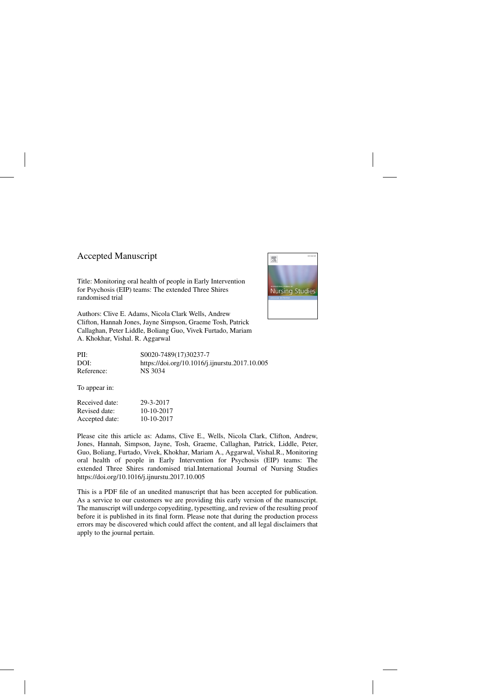## Accepted Manuscript

Title: Monitoring oral health of people in Early Intervention for Psychosis (EIP) teams: The extended Three Shires randomised trial

Authors: Clive E. Adams, Nicola Clark Wells, Andrew Clifton, Hannah Jones, Jayne Simpson, Graeme Tosh, Patrick Callaghan, Peter Liddle, Boliang Guo, Vivek Furtado, Mariam A. Khokhar, Vishal. R. Aggarwal



| PII:       | S0020-7489(17)30237-7                          |
|------------|------------------------------------------------|
| DOI:       | https://doi.org/10.1016/j.ijnurstu.2017.10.005 |
| Reference: | NS 3034                                        |

To appear in:

| Received date: | 29-3-2017  |
|----------------|------------|
| Revised date:  | 10-10-2017 |
| Accepted date: | 10-10-2017 |

Please cite this article as: Adams, Clive E., Wells, Nicola Clark, Clifton, Andrew, Jones, Hannah, Simpson, Jayne, Tosh, Graeme, Callaghan, Patrick, Liddle, Peter, Guo, Boliang, Furtado, Vivek, Khokhar, Mariam A., Aggarwal, Vishal.R., Monitoring oral health of people in Early Intervention for Psychosis (EIP) teams: The extended Three Shires randomised trial.International Journal of Nursing Studies <https://doi.org/10.1016/j.ijnurstu.2017.10.005>

This is a PDF file of an unedited manuscript that has been accepted for publication. As a service to our customers we are providing this early version of the manuscript. The manuscript will undergo copyediting, typesetting, and review of the resulting proof before it is published in its final form. Please note that during the production process errors may be discovered which could affect the content, and all legal disclaimers that apply to the journal pertain.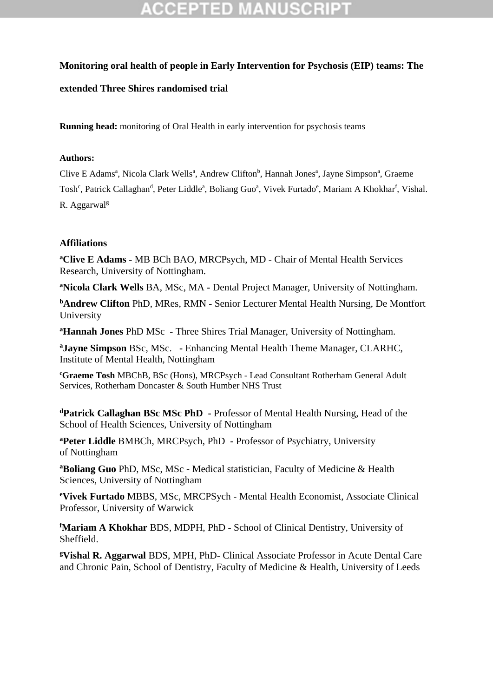# COEPTED

### **Monitoring oral health of people in Early Intervention for Psychosis (EIP) teams: The**

### **extended Three Shires randomised trial**

**Running head:** monitoring of Oral Health in early intervention for psychosis teams

#### **Authors:**

Clive E Adams<sup>a</sup>, Nicola Clark Wells<sup>a</sup>, Andrew Clifton<sup>b</sup>, Hannah Jones<sup>a</sup>, Jayne Simpson<sup>a</sup>, Graeme Tosh<sup>c</sup>, Patrick Callaghan<sup>d</sup>, Peter Liddle<sup>a</sup>, Boliang Guo<sup>a</sup>, Vivek Furtado<sup>e</sup>, Mariam A Khokhar<sup>f</sup>, Vishal. R. Aggarwal<sup>g</sup>

#### **Affiliations**

**<sup>a</sup>Clive E Adams -** MB BCh BAO, MRCPsych, MD - Chair of Mental Health Services Research, University of Nottingham.

**<sup>a</sup>Nicola Clark Wells** BA, MSc, MA **-** Dental Project Manager, University of Nottingham.

**<sup>b</sup>Andrew Clifton** PhD, MRes, RMN **-** Senior Lecturer Mental Health Nursing, De Montfort University

**<sup>a</sup>Hannah Jones** PhD MSc **-** Three Shires Trial Manager, University of Nottingham.

**<sup>a</sup>Jayne Simpson** BSc, MSc. **-** Enhancing Mental Health Theme Manager, CLARHC, Institute of Mental Health, Nottingham

**<sup>c</sup>Graeme Tosh** MBChB, BSc (Hons), MRCPsych - Lead Consultant Rotherham General Adult Services, Rotherham Doncaster & South Humber NHS Trust

**<sup>d</sup>Patrick Callaghan BSc MSc PhD -** Professor of Mental Health Nursing, Head of the School of Health Sciences, University of Nottingham

**<sup>a</sup>Peter Liddle** BMBCh, MRCPsych, PhD **-** Professor of Psychiatry, University of Nottingham

**<sup>a</sup>Boliang Guo** PhD, MSc, MSc **-** Medical statistician, Faculty of Medicine & Health Sciences, University of Nottingham

**<sup>e</sup>Vivek Furtado** MBBS, MSc, MRCPSych - Mental Health Economist, Associate Clinical Professor, University of Warwick

**<sup>f</sup>Mariam A Khokhar** BDS, MDPH, PhD **-** School of Clinical Dentistry, University of Sheffield.

**<sup>g</sup>Vishal R. Aggarwal** BDS, MPH, PhD**-** Clinical Associate Professor in Acute Dental Care and Chronic Pain, School of Dentistry, Faculty of Medicine & Health, University of Leeds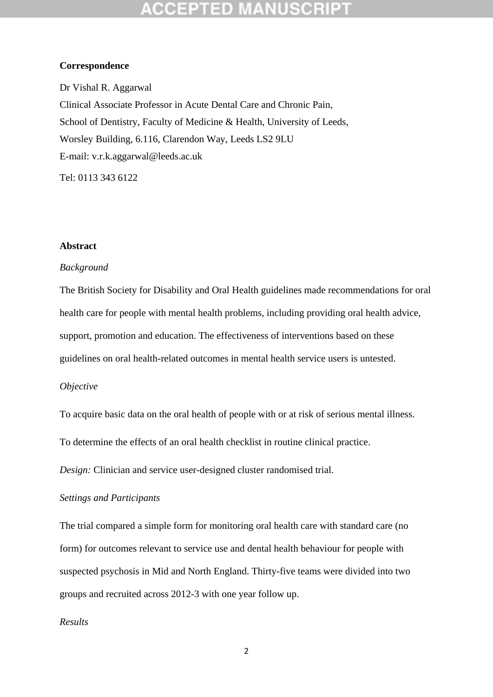#### **Correspondence**

Dr Vishal R. Aggarwal Clinical Associate Professor in Acute Dental Care and Chronic Pain, School of Dentistry, Faculty of Medicine & Health, University of Leeds, Worsley Building, 6.116, Clarendon Way, Leeds LS2 9LU E-mail: [v.r.k.aggarwal@leeds.ac.uk](mailto:v.r.k.aggarwal@leeds.ac.uk) Tel: 0113 343 6122

#### **Abstract**

#### *Background*

The British Society for Disability and Oral Health guidelines made recommendations for oral health care for people with mental health problems, including providing oral health advice, support, promotion and education. The effectiveness of interventions based on these guidelines on oral health-related outcomes in mental health service users is untested.

#### *Objective*

To acquire basic data on the oral health of people with or at risk of serious mental illness.

To determine the effects of an oral health checklist in routine clinical practice.

*Design:* Clinician and service user-designed cluster randomised trial.

#### *Settings and Participants*

The trial compared a simple form for monitoring oral health care with standard care (no form) for outcomes relevant to service use and dental health behaviour for people with suspected psychosis in Mid and North England. Thirty-five teams were divided into two groups and recruited across 2012-3 with one year follow up.

### *Results*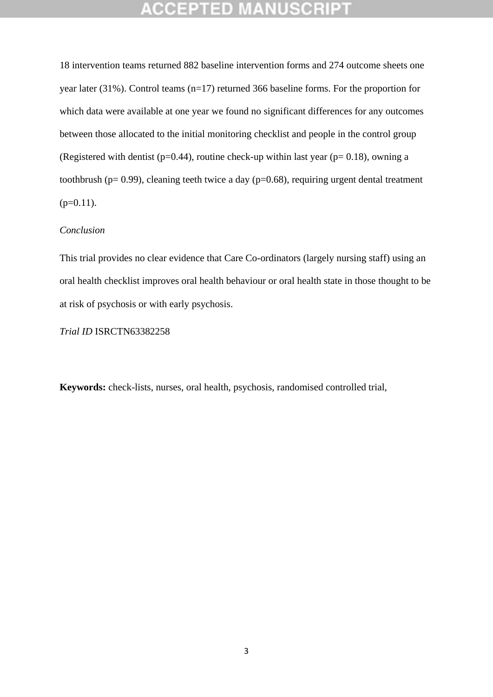## eeiptied

18 intervention teams returned 882 baseline intervention forms and 274 outcome sheets one year later (31%). Control teams (n=17) returned 366 baseline forms. For the proportion for which data were available at one year we found no significant differences for any outcomes between those allocated to the initial monitoring checklist and people in the control group (Registered with dentist ( $p=0.44$ ), routine check-up within last year ( $p=0.18$ ), owning a toothbrush ( $p= 0.99$ ), cleaning teeth twice a day ( $p=0.68$ ), requiring urgent dental treatment  $(p=0.11)$ .

### *Conclusion*

This trial provides no clear evidence that Care Co-ordinators (largely nursing staff) using an oral health checklist improves oral health behaviour or oral health state in those thought to be at risk of psychosis or with early psychosis.

*Trial ID* ISRCTN63382258

**Keywords:** check-lists, nurses, oral health, psychosis, randomised controlled trial,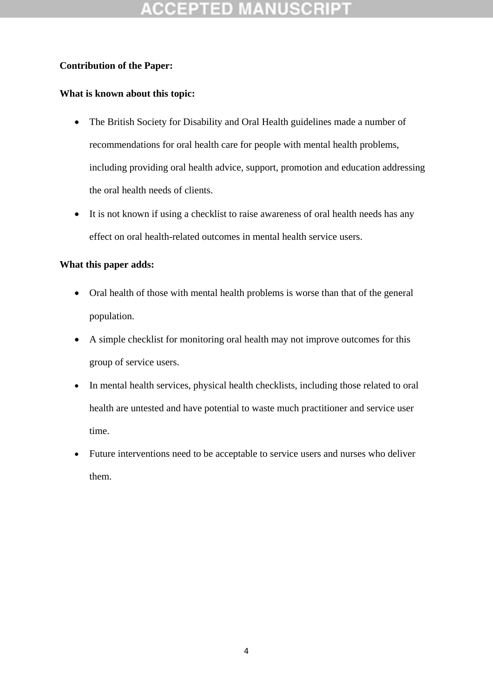#### CCEPTED ANUSCRI

## **Contribution of the Paper:**

## **What is known about this topic:**

- The British Society for Disability and Oral Health guidelines made a number of recommendations for oral health care for people with mental health problems, including providing oral health advice, support, promotion and education addressing the oral health needs of clients.
- It is not known if using a checklist to raise awareness of oral health needs has any effect on oral health-related outcomes in mental health service users.

## **What this paper adds:**

- Oral health of those with mental health problems is worse than that of the general population.
- A simple checklist for monitoring oral health may not improve outcomes for this group of service users.
- In mental health services, physical health checklists, including those related to oral health are untested and have potential to waste much practitioner and service user time.
- Future interventions need to be acceptable to service users and nurses who deliver them.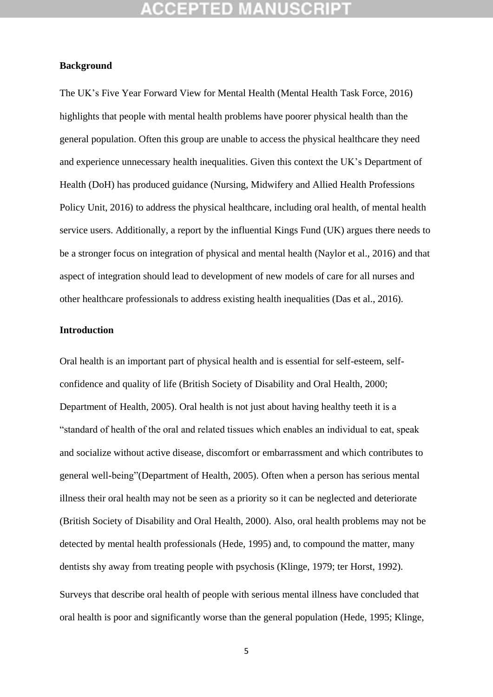#### **Background**

The UK's Five Year Forward View for Mental Health (Mental Health Task Force, 2016) highlights that people with mental health problems have poorer physical health than the general population. Often this group are unable to access the physical healthcare they need and experience unnecessary health inequalities. Given this context the UK's Department of Health (DoH) has produced guidance (Nursing, Midwifery and Allied Health Professions Policy Unit, 2016) to address the physical healthcare, including oral health, of mental health service users. Additionally, a report by the influential Kings Fund (UK) argues there needs to be a stronger focus on integration of physical and mental health (Naylor et al., 2016) and that aspect of integration should lead to development of new models of care for all nurses and other healthcare professionals to address existing health inequalities (Das et al., 2016).

#### **Introduction**

Oral health is an important part of physical health and is essential for self-esteem, selfconfidence and quality of life (British Society of Disability and Oral Health, 2000; Department of Health, 2005). Oral health is not just about having healthy teeth it is a "standard of health of the oral and related tissues which enables an individual to eat, speak and socialize without active disease, discomfort or embarrassment and which contributes to general well-being"(Department of Health, 2005). Often when a person has serious mental illness their oral health may not be seen as a priority so it can be neglected and deteriorate (British Society of Disability and Oral Health, 2000). Also, oral health problems may not be detected by mental health professionals (Hede, 1995) and, to compound the matter, many dentists shy away from treating people with psychosis (Klinge, 1979; ter Horst, 1992). Surveys that describe oral health of people with serious mental illness have concluded that oral health is poor and significantly worse than the general population (Hede, 1995; Klinge,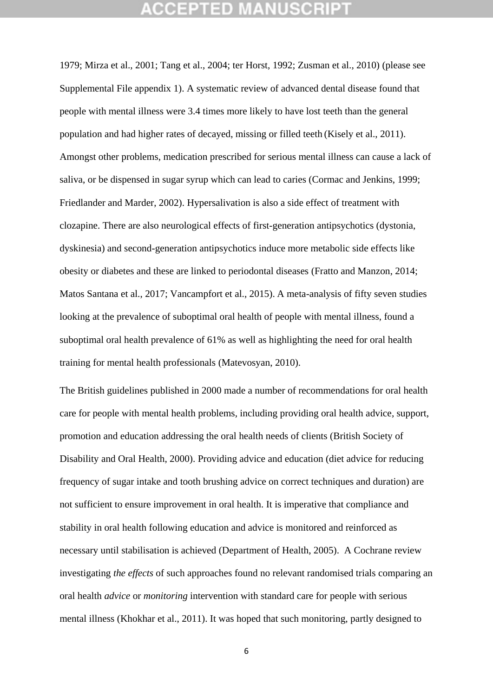1979; Mirza et al., 2001; Tang et al., 2004; ter Horst, 1992; Zusman et al., 2010) (please see Supplemental File appendix 1). A systematic review of advanced dental disease found that people with mental illness were 3.4 times more likely to have lost teeth than the general population and had higher rates of decayed, missing or filled teeth (Kisely et al., 2011). Amongst other problems, medication prescribed for serious mental illness can cause a lack of saliva, or be dispensed in sugar syrup which can lead to caries (Cormac and Jenkins, 1999; Friedlander and Marder, 2002). Hypersalivation is also a side effect of treatment with clozapine. There are also neurological effects of first-generation antipsychotics (dystonia, dyskinesia) and second-generation antipsychotics induce more metabolic side effects like obesity or diabetes and these are linked to periodontal diseases (Fratto and Manzon, 2014; Matos Santana et al., 2017; Vancampfort et al., 2015). A meta-analysis of fifty seven studies looking at the prevalence of suboptimal oral health of people with mental illness, found a suboptimal oral health prevalence of 61% as well as highlighting the need for oral health training for mental health professionals (Matevosyan, 2010).

The British guidelines published in 2000 made a number of recommendations for oral health care for people with mental health problems, including providing oral health advice, support, promotion and education addressing the oral health needs of clients (British Society of Disability and Oral Health, 2000). Providing advice and education (diet advice for reducing frequency of sugar intake and tooth brushing advice on correct techniques and duration) are not sufficient to ensure improvement in oral health. It is imperative that compliance and stability in oral health following education and advice is monitored and reinforced as necessary until stabilisation is achieved (Department of Health, 2005). A Cochrane review investigating *the effects* of such approaches found no relevant randomised trials comparing an oral health *advice* or *monitoring* intervention with standard care for people with serious mental illness (Khokhar et al., 2011). It was hoped that such monitoring, partly designed to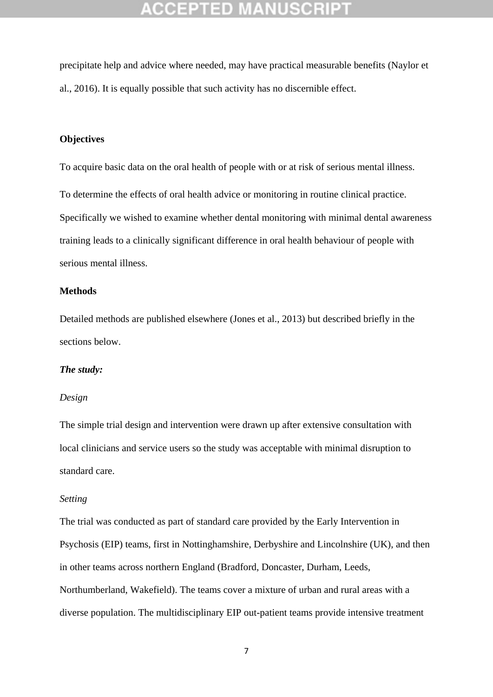precipitate help and advice where needed, may have practical measurable benefits (Naylor et al., 2016). It is equally possible that such activity has no discernible effect.

#### **Objectives**

To acquire basic data on the oral health of people with or at risk of serious mental illness.

To determine the effects of oral health advice or monitoring in routine clinical practice. Specifically we wished to examine whether dental monitoring with minimal dental awareness training leads to a clinically significant difference in oral health behaviour of people with serious mental illness.

#### **Methods**

Detailed methods are published elsewhere (Jones et al., 2013) but described briefly in the sections below.

#### *The study:*

#### *Design*

The simple trial design and intervention were drawn up after extensive consultation with local clinicians and service users so the study was acceptable with minimal disruption to standard care.

#### *Setting*

The trial was conducted as part of standard care provided by the Early Intervention in Psychosis (EIP) teams, first in Nottinghamshire, Derbyshire and Lincolnshire (UK), and then in other teams across northern England (Bradford, Doncaster, Durham, Leeds, Northumberland, Wakefield). The teams cover a mixture of urban and rural areas with a diverse population. The multidisciplinary EIP out-patient teams provide intensive treatment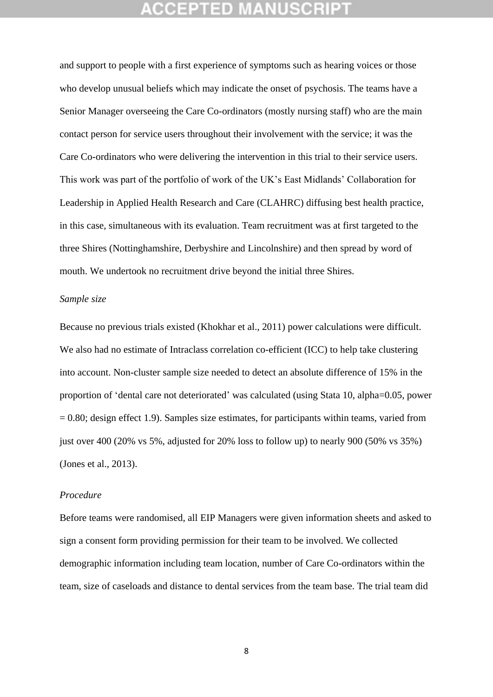## GEPTED

and support to people with a first experience of symptoms such as hearing voices or those who develop unusual beliefs which may indicate the onset of psychosis. The teams have a Senior Manager overseeing the Care Co-ordinators (mostly nursing staff) who are the main contact person for service users throughout their involvement with the service; it was the Care Co-ordinators who were delivering the intervention in this trial to their service users. This work was part of the portfolio of work of the UK's East Midlands' Collaboration for Leadership in Applied Health Research and Care (CLAHRC) diffusing best health practice, in this case, simultaneous with its evaluation. Team recruitment was at first targeted to the three Shires (Nottinghamshire, Derbyshire and Lincolnshire) and then spread by word of mouth. We undertook no recruitment drive beyond the initial three Shires.

#### *Sample size*

Because no previous trials existed (Khokhar et al., 2011) power calculations were difficult. We also had no estimate of Intraclass correlation co-efficient (ICC) to help take clustering into account. Non-cluster sample size needed to detect an absolute difference of 15% in the proportion of 'dental care not deteriorated' was calculated (using Stata 10, alpha=0.05, power  $= 0.80$ ; design effect 1.9). Samples size estimates, for participants within teams, varied from just over 400 (20% vs 5%, adjusted for 20% loss to follow up) to nearly 900 (50% vs 35%) (Jones et al., 2013).

#### *Procedure*

Before teams were randomised, all EIP Managers were given information sheets and asked to sign a consent form providing permission for their team to be involved. We collected demographic information including team location, number of Care Co-ordinators within the team, size of caseloads and distance to dental services from the team base. The trial team did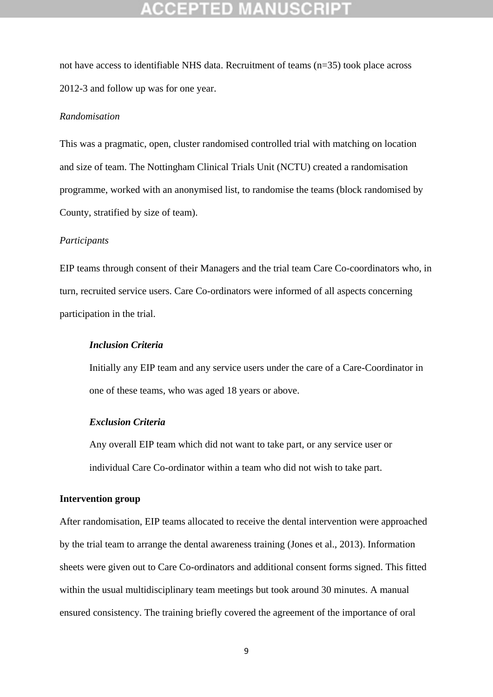not have access to identifiable NHS data. Recruitment of teams (n=35) took place across 2012-3 and follow up was for one year.

#### *Randomisation*

This was a pragmatic, open, cluster randomised controlled trial with matching on location and size of team. The Nottingham Clinical Trials Unit (NCTU) created a randomisation programme, worked with an anonymised list, to randomise the teams (block randomised by County, stratified by size of team).

#### *Participants*

EIP teams through consent of their Managers and the trial team Care Co-coordinators who, in turn, recruited service users. Care Co-ordinators were informed of all aspects concerning participation in the trial.

#### *Inclusion Criteria*

Initially any EIP team and any service users under the care of a Care-Coordinator in one of these teams, who was aged 18 years or above.

#### *Exclusion Criteria*

Any overall EIP team which did not want to take part, or any service user or individual Care Co-ordinator within a team who did not wish to take part.

#### **Intervention group**

After randomisation, EIP teams allocated to receive the dental intervention were approached by the trial team to arrange the dental awareness training (Jones et al., 2013). Information sheets were given out to Care Co-ordinators and additional consent forms signed. This fitted within the usual multidisciplinary team meetings but took around 30 minutes. A manual ensured consistency. The training briefly covered the agreement of the importance of oral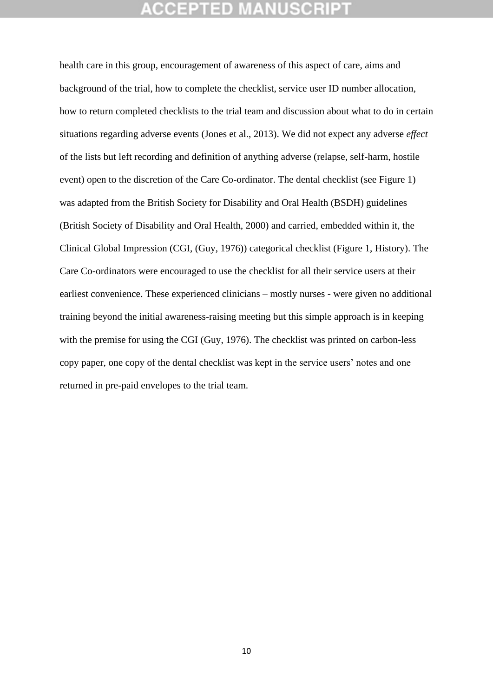health care in this group, encouragement of awareness of this aspect of care, aims and background of the trial, how to complete the checklist, service user ID number allocation, how to return completed checklists to the trial team and discussion about what to do in certain situations regarding adverse events (Jones et al., 2013). We did not expect any adverse *effect* of the lists but left recording and definition of anything adverse (relapse, self-harm, hostile event) open to the discretion of the Care Co-ordinator. The dental checklist (see Figure 1) was adapted from the British Society for Disability and Oral Health (BSDH) guidelines (British Society of Disability and Oral Health, 2000) and carried, embedded within it, the Clinical Global Impression (CGI, (Guy, 1976)) categorical checklist (Figure 1, History). The Care Co-ordinators were encouraged to use the checklist for all their service users at their earliest convenience. These experienced clinicians – mostly nurses - were given no additional training beyond the initial awareness-raising meeting but this simple approach is in keeping with the premise for using the CGI (Guy, 1976). The checklist was printed on carbon-less copy paper, one copy of the dental checklist was kept in the service users' notes and one returned in pre-paid envelopes to the trial team.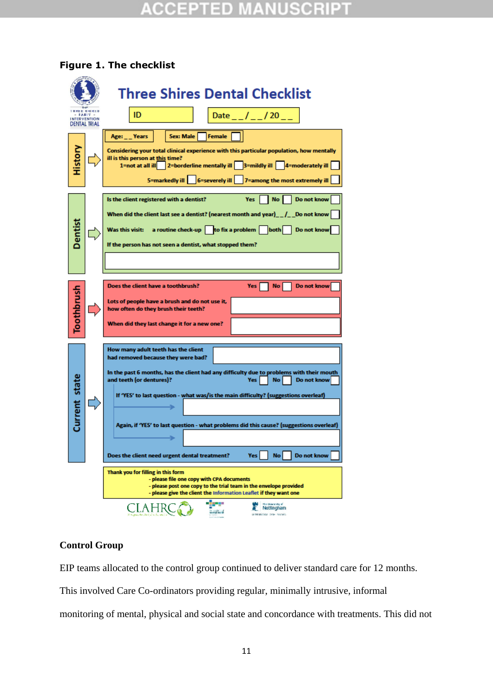## **Figure 1. The checklist**

|               |                                                     | <b>Three Shires Dental Checklist</b>                                                                                                                                                                                                                                                                                                                                                                                                                                                         |
|---------------|-----------------------------------------------------|----------------------------------------------------------------------------------------------------------------------------------------------------------------------------------------------------------------------------------------------------------------------------------------------------------------------------------------------------------------------------------------------------------------------------------------------------------------------------------------------|
|               | <b>FABIY</b><br><b>INTERVENTION</b><br>dental Irial | ID<br>Date $/$ /20                                                                                                                                                                                                                                                                                                                                                                                                                                                                           |
| History       |                                                     | Sex: Male<br><b>Female</b><br>Age: Years<br>Considering your total clinical experience with this particular population, how mentally<br>ill is this person at this time?<br>2=borderline mentally ill   3=mildly ill   4=moderately ill<br>1=not at all ill<br>5=markedly ill   6=severely ill   7=among the most extremely ill                                                                                                                                                              |
| Dentist       |                                                     | <b>Yes</b><br><b>No</b><br>Is the client registered with a dentist?<br>Do not know<br>When did the client last see a dentist? (nearest month and year)__/__Do not know<br>Was this visit: a routine check-up to fix a problem both Do not know<br>If the person has not seen a dentist, what stopped them?                                                                                                                                                                                   |
| Toothbrush    |                                                     | Does the client have a toothbrush?<br><b>No</b><br>Do not know<br>Yes<br>Lots of people have a brush and do not use it,<br>how often do they brush their teeth?<br>When did they last change it for a new one?                                                                                                                                                                                                                                                                               |
| Current state |                                                     | How many adult teeth has the client<br>had removed because they were bad?<br>In the past 6 months, has the client had any difficulty due to problems with their mouth<br>and teeth (or dentures)?<br>No<br>Do not know<br>Yes<br>If 'YES' to last question - what was/is the main difficulty? (suggestions overleaf)<br>Again, if 'YES' to last question - what problems did this cause? (suggestions overleaf)<br>Do not know<br>Does the client need urgent dental treatment?<br>Yes<br>No |
|               |                                                     | Thank you for filling in this form<br>- please file one copy with CPA documents<br>- please post one copy to the trial team in the envelope provided<br>- please give the client the Information Leaflet if they want one                                                                                                                                                                                                                                                                    |
|               |                                                     | - 500 00<br>The University of<br>CLAHI<br>Notlingham<br>.<br>Bernamen<br>DITRODUCED SUB-ANASIA                                                                                                                                                                                                                                                                                                                                                                                               |

## **Control Group**

EIP teams allocated to the control group continued to deliver standard care for 12 months.

This involved Care Co-ordinators providing regular, minimally intrusive, informal

monitoring of mental, physical and social state and concordance with treatments. This did not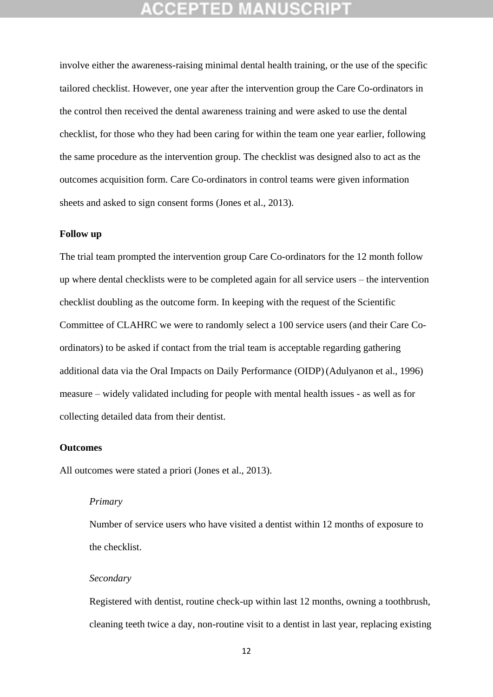involve either the awareness-raising minimal dental health training, or the use of the specific tailored checklist. However, one year after the intervention group the Care Co-ordinators in the control then received the dental awareness training and were asked to use the dental checklist, for those who they had been caring for within the team one year earlier, following the same procedure as the intervention group. The checklist was designed also to act as the outcomes acquisition form. Care Co-ordinators in control teams were given information sheets and asked to sign consent forms (Jones et al., 2013).

#### **Follow up**

The trial team prompted the intervention group Care Co-ordinators for the 12 month follow up where dental checklists were to be completed again for all service users – the intervention checklist doubling as the outcome form. In keeping with the request of the Scientific Committee of CLAHRC we were to randomly select a 100 service users (and their Care Coordinators) to be asked if contact from the trial team is acceptable regarding gathering additional data via the Oral Impacts on Daily Performance (OIDP) (Adulyanon et al., 1996) measure – widely validated including for people with mental health issues - as well as for collecting detailed data from their dentist.

### **Outcomes**

All outcomes were stated a priori (Jones et al., 2013).

#### *Primary*

Number of service users who have visited a dentist within 12 months of exposure to the checklist.

#### *Secondary*

Registered with dentist, routine check-up within last 12 months, owning a toothbrush, cleaning teeth twice a day, non-routine visit to a dentist in last year, replacing existing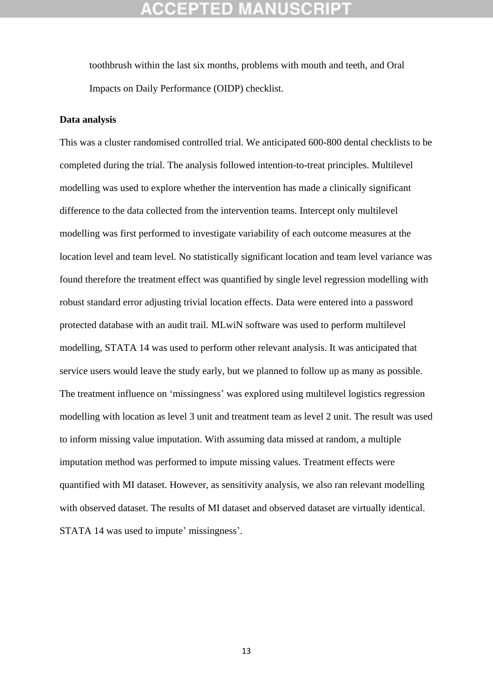toothbrush within the last six months, problems with mouth and teeth, and Oral Impacts on Daily Performance (OIDP) checklist.

#### **Data analysis**

This was a cluster randomised controlled trial. We anticipated 600-800 dental checklists to be completed during the trial. The analysis followed intention-to-treat principles. Multilevel modelling was used to explore whether the intervention has made a clinically significant difference to the data collected from the intervention teams. Intercept only multilevel modelling was first performed to investigate variability of each outcome measures at the location level and team level. No statistically significant location and team level variance was found therefore the treatment effect was quantified by single level regression modelling with robust standard error adjusting trivial location effects. Data were entered into a password protected database with an audit trail. MLwiN software was used to perform multilevel modelling, STATA 14 was used to perform other relevant analysis. It was anticipated that service users would leave the study early, but we planned to follow up as many as possible. The treatment influence on 'missingness' was explored using multilevel logistics regression modelling with location as level 3 unit and treatment team as level 2 unit. The result was used to inform missing value imputation. With assuming data missed at random, a multiple imputation method was performed to impute missing values. Treatment effects were quantified with MI dataset. However, as sensitivity analysis, we also ran relevant modelling with observed dataset. The results of MI dataset and observed dataset are virtually identical. STATA 14 was used to impute' missingness'.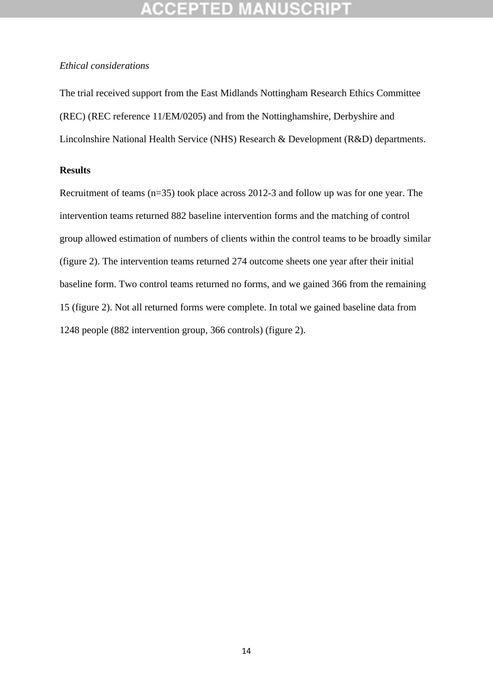# CEPTED

### *Ethical considerations*

The trial received support from the East Midlands Nottingham Research Ethics Committee (REC) (REC reference 11/EM/0205) and from the Nottinghamshire, Derbyshire and Lincolnshire National Health Service (NHS) Research & Development (R&D) departments.

### **Results**

Recruitment of teams (n=35) took place across 2012-3 and follow up was for one year. The intervention teams returned 882 baseline intervention forms and the matching of control group allowed estimation of numbers of clients within the control teams to be broadly similar (figure 2). The intervention teams returned 274 outcome sheets one year after their initial baseline form. Two control teams returned no forms, and we gained 366 from the remaining 15 (figure 2). Not all returned forms were complete. In total we gained baseline data from 1248 people (882 intervention group, 366 controls) (figure 2).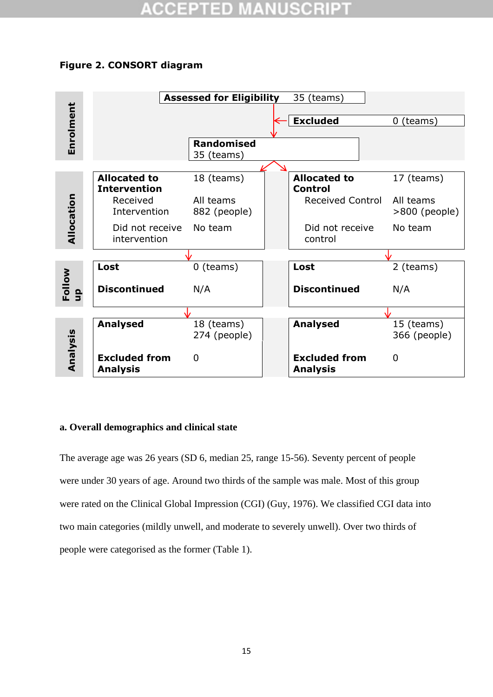## **Figure 2. CONSORT diagram**



### **a. Overall demographics and clinical state**

The average age was 26 years (SD 6, median 25, range 15-56). Seventy percent of people were under 30 years of age. Around two thirds of the sample was male. Most of this group were rated on the Clinical Global Impression (CGI) (Guy, 1976). We classified CGI data into two main categories (mildly unwell, and moderate to severely unwell). Over two thirds of people were categorised as the former (Table 1).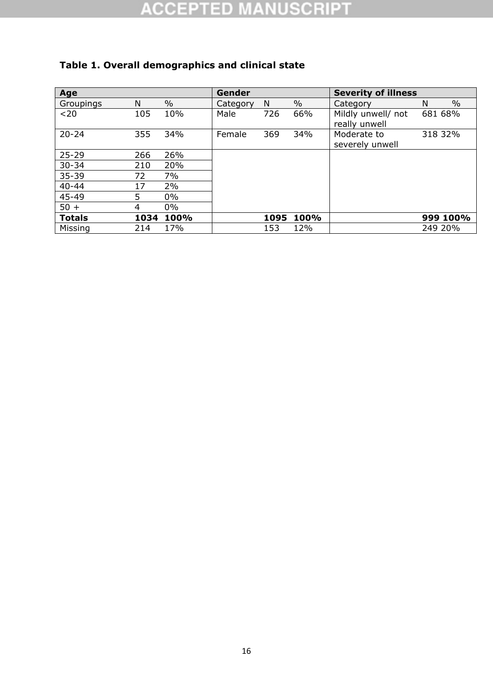| Age           |      |       | Gender   |      |             | <b>Severity of illness</b>          |         |          |
|---------------|------|-------|----------|------|-------------|-------------------------------------|---------|----------|
| Groupings     | N    | $\%$  | Category | N    | $\%$        | Category                            | N       | $\%$     |
| $20$          | 105  | 10%   | Male     | 726  | 66%         | Mildly unwell/ not<br>really unwell | 681 68% |          |
| $20 - 24$     | 355  | 34%   | Female   | 369  | 34%         | Moderate to<br>severely unwell      |         | 318 32%  |
| $25 - 29$     | 266  | 26%   |          |      |             |                                     |         |          |
| $30 - 34$     | 210  | 20%   |          |      |             |                                     |         |          |
| $35 - 39$     | 72   | 7%    |          |      |             |                                     |         |          |
| $40 - 44$     | 17   | 2%    |          |      |             |                                     |         |          |
| 45-49         | 5    | $0\%$ |          |      |             |                                     |         |          |
| $50 +$        | 4    | $0\%$ |          |      |             |                                     |         |          |
| <b>Totals</b> | 1034 | 100%  |          | 1095 | <b>100%</b> |                                     |         | 999 100% |
| Missing       | 214  | 17%   |          | 153  | 12%         |                                     |         | 249 20%  |

## **Table 1. Overall demographics and clinical state**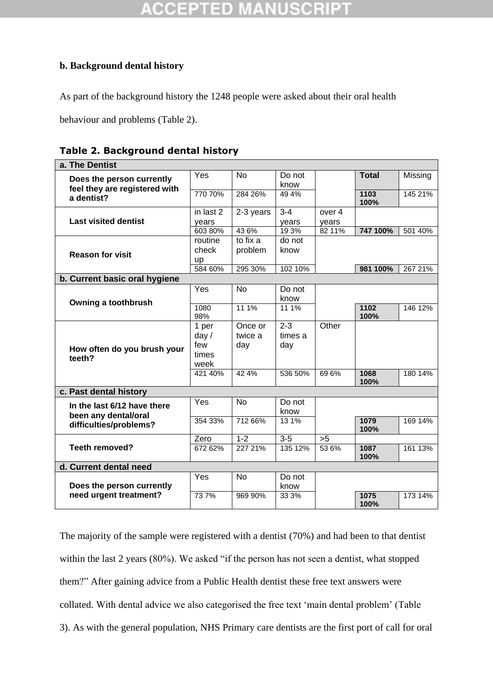# CCEPTED

### **b. Background dental history**

As part of the background history the 1248 people were asked about their oral health

behaviour and problems (Table 2).

**Table 2. Background dental history**

| a. The Dentist                                             |                 |           |                |        |              |         |  |  |
|------------------------------------------------------------|-----------------|-----------|----------------|--------|--------------|---------|--|--|
| Does the person currently<br>feel they are registered with | Yes             | <b>No</b> | Do not<br>know |        | <b>Total</b> | Missing |  |  |
| a dentist?                                                 | 770 70%         | 284 26%   | 49 4%          |        | 1103<br>100% | 145 21% |  |  |
|                                                            | in last 2       | 2-3 years | $3 - 4$        | over 4 |              |         |  |  |
| <b>Last visited dentist</b>                                | years           |           | years          | vears  |              |         |  |  |
|                                                            | 603 80%         | 43 6%     | 19 3%          | 82 11% | 747 100%     | 501 40% |  |  |
|                                                            | routine         | to fix a  | do not         |        |              |         |  |  |
| <b>Reason for visit</b>                                    | check           | problem   | know           |        |              |         |  |  |
|                                                            | <b>up</b>       |           |                |        |              |         |  |  |
|                                                            | 584 60%         | 295 30%   | 102 10%        |        | 981 100%     | 267 21% |  |  |
| b. Current basic oral hygiene                              |                 |           |                |        |              |         |  |  |
|                                                            | Yes             | <b>No</b> | Do not         |        |              |         |  |  |
| Owning a toothbrush                                        |                 |           | know           |        |              |         |  |  |
|                                                            | 1080<br>98%     | 11 1%     | 11 1%          |        | 1102<br>100% | 146 12% |  |  |
|                                                            | 1 per           | Once or   | $2 - 3$        | Other  |              |         |  |  |
|                                                            | day $/$         | twice a   | times a        |        |              |         |  |  |
| How often do you brush your                                | few             | day       | day            |        |              |         |  |  |
| teeth?                                                     | times           |           |                |        |              |         |  |  |
|                                                            | week<br>421 40% | 42 4%     | 536 50%        | 696%   | 1068         |         |  |  |
|                                                            |                 |           |                |        | 100%         | 180 14% |  |  |
| c. Past dental history                                     |                 |           |                |        |              |         |  |  |
| In the last 6/12 have there                                | Yes             | <b>No</b> | Do not         |        |              |         |  |  |
| been any dental/oral                                       |                 |           | know           |        |              |         |  |  |
| difficulties/problems?                                     | 354 33%         | 712 66%   | 13 1%          |        | 1079<br>100% | 169 14% |  |  |
|                                                            | Zero            | $1 - 2$   | $3-5$          | >5     |              |         |  |  |
| <b>Teeth removed?</b>                                      | 672 62%         | 227 21%   | 135 12%        | 53 6%  | 1087<br>100% | 161 13% |  |  |
| d. Current dental need                                     |                 |           |                |        |              |         |  |  |
|                                                            | Yes             | <b>No</b> | Do not         |        |              |         |  |  |
| Does the person currently                                  |                 |           | know           |        |              |         |  |  |
| need urgent treatment?                                     | 737%            | 969 90%   | 33 3%          |        | 1075<br>100% | 173 14% |  |  |
|                                                            |                 |           |                |        |              |         |  |  |

The majority of the sample were registered with a dentist (70%) and had been to that dentist within the last 2 years (80%). We asked "if the person has not seen a dentist, what stopped them?" After gaining advice from a Public Health dentist these free text answers were collated. With dental advice we also categorised the free text 'main dental problem' (Table 3). As with the general population, NHS Primary care dentists are the first port of call for oral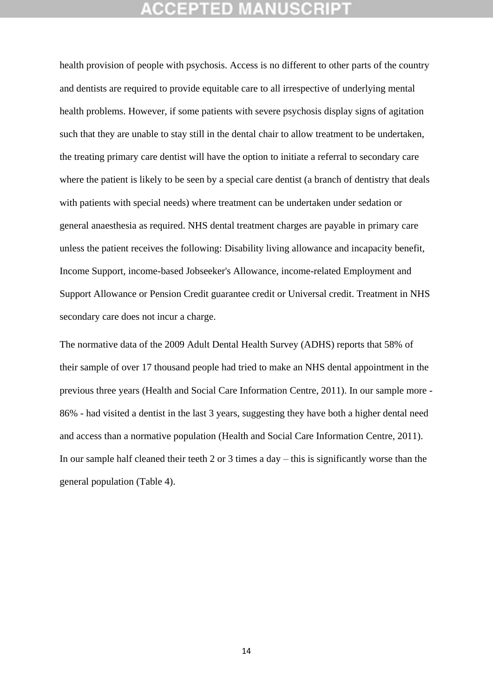health provision of people with psychosis. Access is no different to other parts of the country and dentists are required to provide equitable care to all irrespective of underlying mental health problems. However, if some patients with severe psychosis display signs of agitation such that they are unable to stay still in the dental chair to allow treatment to be undertaken, the treating primary care dentist will have the option to initiate a referral to secondary care where the patient is likely to be seen by a special care dentist (a branch of dentistry that deals with patients with special needs) where treatment can be undertaken under sedation or general anaesthesia as required. NHS dental treatment charges are payable in primary care unless the patient receives the following: Disability living allowance and incapacity benefit, Income Support, income-based Jobseeker's Allowance, income-related Employment and Support Allowance or Pension Credit guarantee credit or Universal credit. Treatment in NHS secondary care does not incur a charge.

The normative data of the 2009 Adult Dental Health Survey (ADHS) reports that 58% of their sample of over 17 thousand people had tried to make an NHS dental appointment in the previous three years (Health and Social Care Information Centre, 2011). In our sample more - 86% - had visited a dentist in the last 3 years, suggesting they have both a higher dental need and access than a normative population (Health and Social Care Information Centre, 2011). In our sample half cleaned their teeth 2 or 3 times a day – this is significantly worse than the general population (Table 4).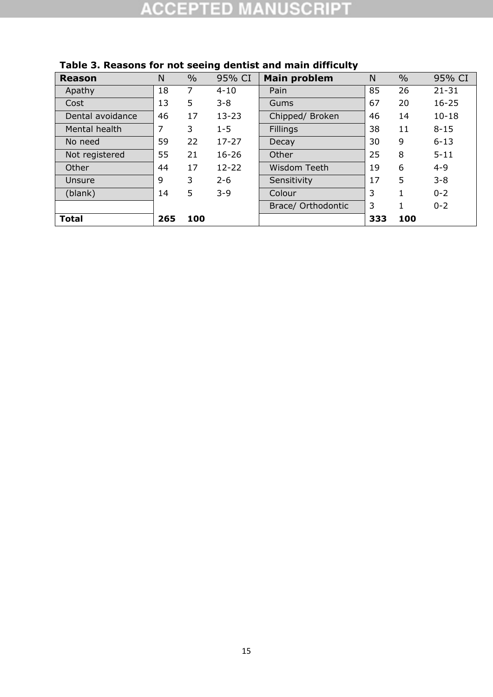# **ACCEPTED MANUSCRIPT**

| <b>Reason</b>    | N   | $\frac{0}{0}$ | 95% CI    | <b>Main problem</b> | N   | $\frac{0}{0}$ | 95% CI    |
|------------------|-----|---------------|-----------|---------------------|-----|---------------|-----------|
| Apathy           | 18  | 7             | $4 - 10$  | Pain                | 85  | 26            | $21 - 31$ |
| Cost             | 13  | 5             | $3 - 8$   | Gums                | 67  | 20            | $16 - 25$ |
| Dental avoidance | 46  | 17            | $13 - 23$ | Chipped/ Broken     | 46  | 14            | $10 - 18$ |
| Mental health    | 7   | 3             | $1 - 5$   | <b>Fillings</b>     | 38  | 11            | $8 - 15$  |
| No need          | 59  | 22            | $17 - 27$ | Decay               | 30  | 9             | $6 - 13$  |
| Not registered   | 55  | 21            | $16 - 26$ | Other               | 25  | 8             | $5 - 11$  |
| Other            | 44  | 17            | $12 - 22$ | Wisdom Teeth        | 19  | 6             | $4 - 9$   |
| Unsure           | 9   | 3             | $2 - 6$   | Sensitivity         | 17  | 5             | $3 - 8$   |
| (blank)          | 14  | 5             | $3 - 9$   | Colour              | 3   |               | $0 - 2$   |
|                  |     |               |           | Brace/ Orthodontic  | 3   |               | $0 - 2$   |
| <b>Total</b>     | 265 | 100           |           |                     | 333 | 100           |           |

## **Table 3. Reasons for not seeing dentist and main difficulty**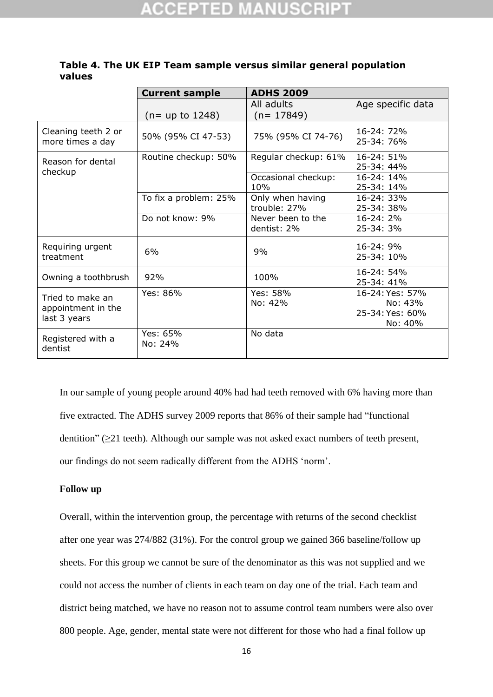|                                                        | <b>Current sample</b> | <b>ADHS 2009</b>                 |                                                          |  |  |
|--------------------------------------------------------|-----------------------|----------------------------------|----------------------------------------------------------|--|--|
|                                                        | (n= up to 1248)       | All adults<br>$(n=17849)$        | Age specific data                                        |  |  |
| Cleaning teeth 2 or<br>more times a day                | 50% (95% CI 47-53)    | 75% (95% CI 74-76)               | $16 - 24:72%$<br>25-34: 76%                              |  |  |
| Reason for dental<br>checkup                           | Routine checkup: 50%  | Regular checkup: 61%             | 16-24: 51%<br>25-34: 44%                                 |  |  |
|                                                        |                       | Occasional checkup:<br>10%       | 16-24: 14%<br>25-34: 14%                                 |  |  |
|                                                        | To fix a problem: 25% | Only when having<br>trouble: 27% | 16-24: 33%<br>25-34: 38%                                 |  |  |
|                                                        | Do not know: 9%       | Never been to the<br>dentist: 2% | $16 - 24:2%$<br>25-34: 3%                                |  |  |
| Requiring urgent<br>treatment                          | 6%                    | 9%                               | $16 - 24:9%$<br>25-34: 10%                               |  |  |
| Owning a toothbrush                                    | 92%                   | 100%                             | 16-24: 54%<br>25-34: 41%                                 |  |  |
| Tried to make an<br>appointment in the<br>last 3 years | Yes: 86%              | Yes: 58%<br>No: 42%              | 16-24: Yes: 57%<br>No: 43%<br>25-34: Yes: 60%<br>No: 40% |  |  |
| Registered with a<br>dentist                           | Yes: 65%<br>No: 24%   | No data                          |                                                          |  |  |

### **Table 4. The UK EIP Team sample versus similar general population values**

In our sample of young people around 40% had had teeth removed with 6% having more than five extracted. The ADHS survey 2009 reports that 86% of their sample had "functional dentition" (≥21 teeth). Although our sample was not asked exact numbers of teeth present, our findings do not seem radically different from the ADHS 'norm'.

### **Follow up**

Overall, within the intervention group, the percentage with returns of the second checklist after one year was 274/882 (31%). For the control group we gained 366 baseline/follow up sheets. For this group we cannot be sure of the denominator as this was not supplied and we could not access the number of clients in each team on day one of the trial. Each team and district being matched, we have no reason not to assume control team numbers were also over 800 people. Age, gender, mental state were not different for those who had a final follow up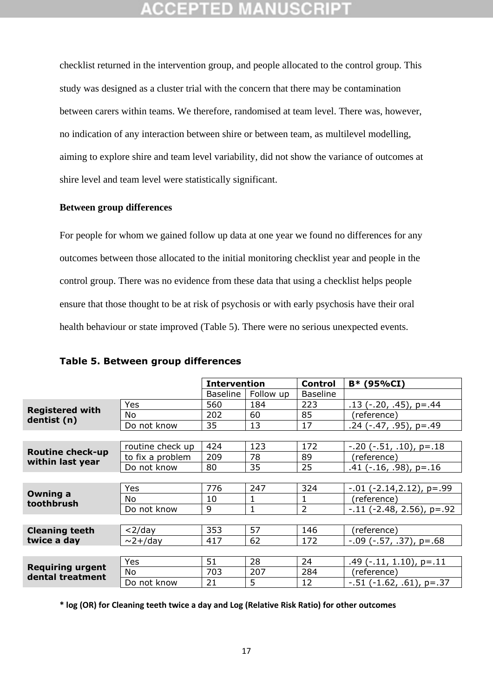# (CEPTED)

checklist returned in the intervention group, and people allocated to the control group. This study was designed as a cluster trial with the concern that there may be contamination between carers within teams. We therefore, randomised at team level. There was, however, no indication of any interaction between shire or between team, as multilevel modelling, aiming to explore shire and team level variability, did not show the variance of outcomes at shire level and team level were statistically significant.

### **Between group differences**

For people for whom we gained follow up data at one year we found no differences for any outcomes between those allocated to the initial monitoring checklist year and people in the control group. There was no evidence from these data that using a checklist helps people ensure that those thought to be at risk of psychosis or with early psychosis have their oral health behaviour or state improved (Table 5). There were no serious unexpected events.

|                                       |                  | <b>Intervention</b> |           | <b>Control</b>  | $B*$ (95%CI)                          |
|---------------------------------------|------------------|---------------------|-----------|-----------------|---------------------------------------|
|                                       |                  | <b>Baseline</b>     | Follow up | <b>Baseline</b> |                                       |
|                                       | Yes              | 560                 | 184       | 223             | $.13$ ( $-.20, .45$ ), p= $.44$       |
| <b>Registered with</b><br>dentist (n) | No               | 202                 | 60        | 85              | (reference)                           |
|                                       | Do not know      | 35                  | 13        | 17              | $.24$ (-.47, .95), p=.49              |
|                                       |                  |                     |           |                 |                                       |
| <b>Routine check-up</b>               | routine check up | 424                 | 123       | 172             | $-.20$ ( $-.51, .10$ ), p= $.18$      |
| within last year                      | to fix a problem | 209                 | 78        | 89              | (reference)                           |
|                                       | Do not know      | 80                  | 35        | 25              | $.41$ ( $-.16, .98$ ), p= $.16$       |
|                                       |                  |                     |           |                 |                                       |
| <b>Owning a</b>                       | Yes              | 776                 | 247       | 324             | $-.01$ ( $-2.14,2.12$ ), $p=.99$      |
| toothbrush                            | No.              | 10                  | 1         | 1               | (reference)                           |
|                                       | Do not know      | 9                   | 1         | $\overline{2}$  | $-.11$ ( $-2.48$ , 2.56), p=.92       |
|                                       |                  |                     |           |                 |                                       |
| <b>Cleaning teeth</b>                 | $<$ 2/day        | 353                 | 57        | 146             | (reference)                           |
| twice a day                           | $\sim$ 2+/day    | 417                 | 62        | 172             | $-.09$ ( $-.57, .37$ ), p=.68         |
|                                       |                  |                     |           |                 |                                       |
| <b>Requiring urgent</b>               | Yes              | 51                  | 28        | 24              | $.49$ ( $-.11$ , $1.10$ ), $p=.11$    |
| dental treatment                      | No               | 703                 | 207       | 284             | (reference)                           |
|                                       | Do not know      | 21                  | 5         | 12              | $-0.51$ ( $-1.62$ , $0.61$ ), $p=.37$ |

**Table 5. Between group differences**

**\* log (OR) for Cleaning teeth twice a day and Log (Relative Risk Ratio) for other outcomes**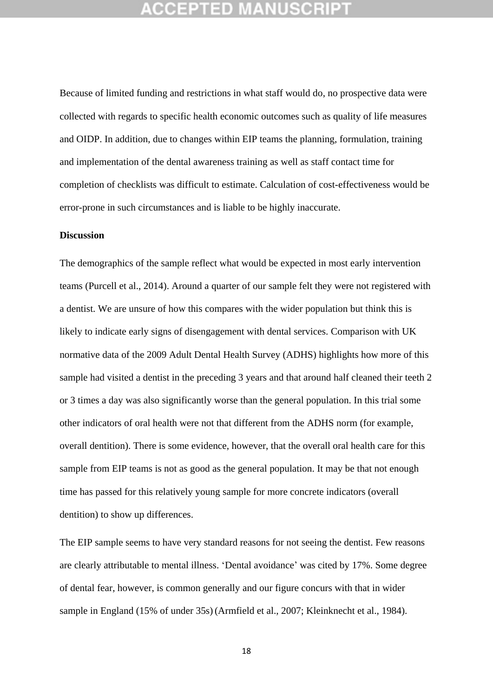Because of limited funding and restrictions in what staff would do, no prospective data were collected with regards to specific health economic outcomes such as quality of life measures and OIDP. In addition, due to changes within EIP teams the planning, formulation, training and implementation of the dental awareness training as well as staff contact time for completion of checklists was difficult to estimate. Calculation of cost-effectiveness would be error-prone in such circumstances and is liable to be highly inaccurate.

#### **Discussion**

The demographics of the sample reflect what would be expected in most early intervention teams (Purcell et al., 2014). Around a quarter of our sample felt they were not registered with a dentist. We are unsure of how this compares with the wider population but think this is likely to indicate early signs of disengagement with dental services. Comparison with UK normative data of the 2009 Adult Dental Health Survey (ADHS) highlights how more of this sample had visited a dentist in the preceding 3 years and that around half cleaned their teeth 2 or 3 times a day was also significantly worse than the general population. In this trial some other indicators of oral health were not that different from the ADHS norm (for example, overall dentition). There is some evidence, however, that the overall oral health care for this sample from EIP teams is not as good as the general population. It may be that not enough time has passed for this relatively young sample for more concrete indicators (overall dentition) to show up differences.

The EIP sample seems to have very standard reasons for not seeing the dentist. Few reasons are clearly attributable to mental illness. 'Dental avoidance' was cited by 17%. Some degree of dental fear, however, is common generally and our figure concurs with that in wider sample in England (15% of under 35s) (Armfield et al., 2007; Kleinknecht et al., 1984).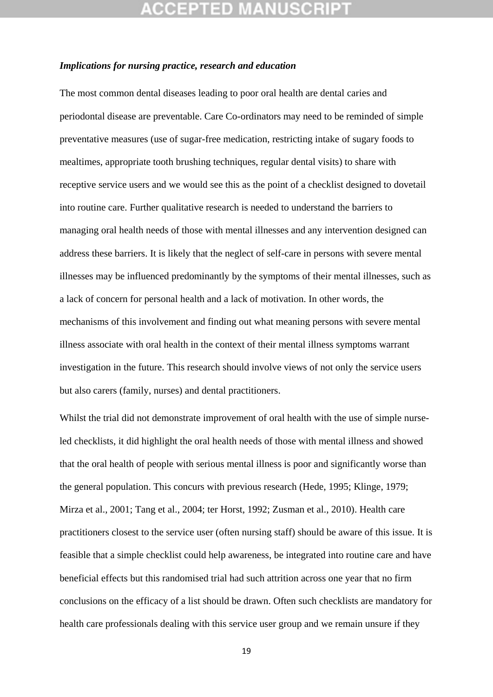#### *Implications for nursing practice, research and education*

The most common dental diseases leading to poor oral health are dental caries and periodontal disease are preventable. Care Co-ordinators may need to be reminded of simple preventative measures (use of sugar-free medication, restricting intake of sugary foods to mealtimes, appropriate tooth brushing techniques, regular dental visits) to share with receptive service users and we would see this as the point of a checklist designed to dovetail into routine care. Further qualitative research is needed to understand the barriers to managing oral health needs of those with mental illnesses and any intervention designed can address these barriers. It is likely that the neglect of self-care in persons with severe mental illnesses may be influenced predominantly by the symptoms of their mental illnesses, such as a lack of concern for personal health and a lack of motivation. In other words, the mechanisms of this involvement and finding out what meaning persons with severe mental illness associate with oral health in the context of their mental illness symptoms warrant investigation in the future. This research should involve views of not only the service users but also carers (family, nurses) and dental practitioners.

Whilst the trial did not demonstrate improvement of oral health with the use of simple nurseled checklists, it did highlight the oral health needs of those with mental illness and showed that the oral health of people with serious mental illness is poor and significantly worse than the general population. This concurs with previous research (Hede, 1995; Klinge, 1979; Mirza et al., 2001; Tang et al., 2004; ter Horst, 1992; Zusman et al., 2010). Health care practitioners closest to the service user (often nursing staff) should be aware of this issue. It is feasible that a simple checklist could help awareness, be integrated into routine care and have beneficial effects but this randomised trial had such attrition across one year that no firm conclusions on the efficacy of a list should be drawn. Often such checklists are mandatory for health care professionals dealing with this service user group and we remain unsure if they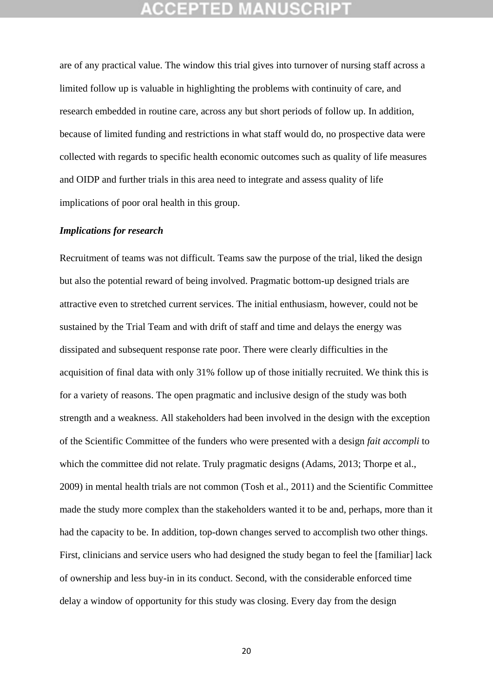are of any practical value. The window this trial gives into turnover of nursing staff across a limited follow up is valuable in highlighting the problems with continuity of care, and research embedded in routine care, across any but short periods of follow up. In addition, because of limited funding and restrictions in what staff would do, no prospective data were collected with regards to specific health economic outcomes such as quality of life measures and OIDP and further trials in this area need to integrate and assess quality of life implications of poor oral health in this group.

#### *Implications for research*

Recruitment of teams was not difficult. Teams saw the purpose of the trial, liked the design but also the potential reward of being involved. Pragmatic bottom-up designed trials are attractive even to stretched current services. The initial enthusiasm, however, could not be sustained by the Trial Team and with drift of staff and time and delays the energy was dissipated and subsequent response rate poor. There were clearly difficulties in the acquisition of final data with only 31% follow up of those initially recruited. We think this is for a variety of reasons. The open pragmatic and inclusive design of the study was both strength and a weakness. All stakeholders had been involved in the design with the exception of the Scientific Committee of the funders who were presented with a design *fait accompli* to which the committee did not relate. Truly pragmatic designs (Adams, 2013; Thorpe et al., 2009) in mental health trials are not common (Tosh et al., 2011) and the Scientific Committee made the study more complex than the stakeholders wanted it to be and, perhaps, more than it had the capacity to be. In addition, top-down changes served to accomplish two other things. First, clinicians and service users who had designed the study began to feel the [familiar] lack of ownership and less buy-in in its conduct. Second, with the considerable enforced time delay a window of opportunity for this study was closing. Every day from the design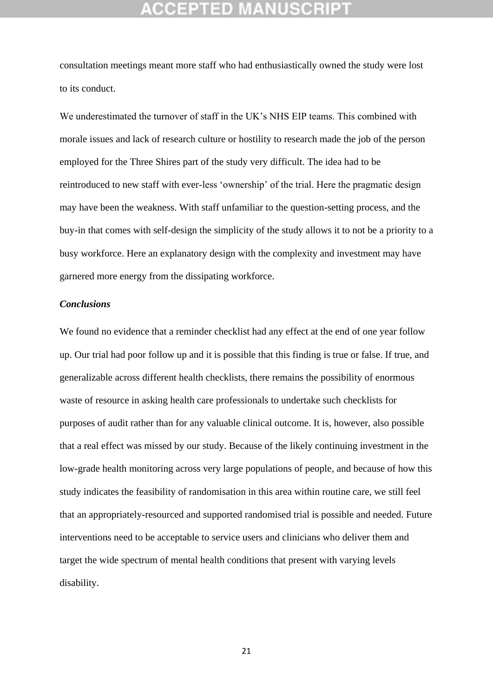consultation meetings meant more staff who had enthusiastically owned the study were lost to its conduct.

We underestimated the turnover of staff in the UK's NHS EIP teams. This combined with morale issues and lack of research culture or hostility to research made the job of the person employed for the Three Shires part of the study very difficult. The idea had to be reintroduced to new staff with ever-less 'ownership' of the trial. Here the pragmatic design may have been the weakness. With staff unfamiliar to the question-setting process, and the buy-in that comes with self-design the simplicity of the study allows it to not be a priority to a busy workforce. Here an explanatory design with the complexity and investment may have garnered more energy from the dissipating workforce.

### *Conclusions*

We found no evidence that a reminder checklist had any effect at the end of one year follow up. Our trial had poor follow up and it is possible that this finding is true or false. If true, and generalizable across different health checklists, there remains the possibility of enormous waste of resource in asking health care professionals to undertake such checklists for purposes of audit rather than for any valuable clinical outcome. It is, however, also possible that a real effect was missed by our study. Because of the likely continuing investment in the low-grade health monitoring across very large populations of people, and because of how this study indicates the feasibility of randomisation in this area within routine care, we still feel that an appropriately-resourced and supported randomised trial is possible and needed. Future interventions need to be acceptable to service users and clinicians who deliver them and target the wide spectrum of mental health conditions that present with varying levels disability.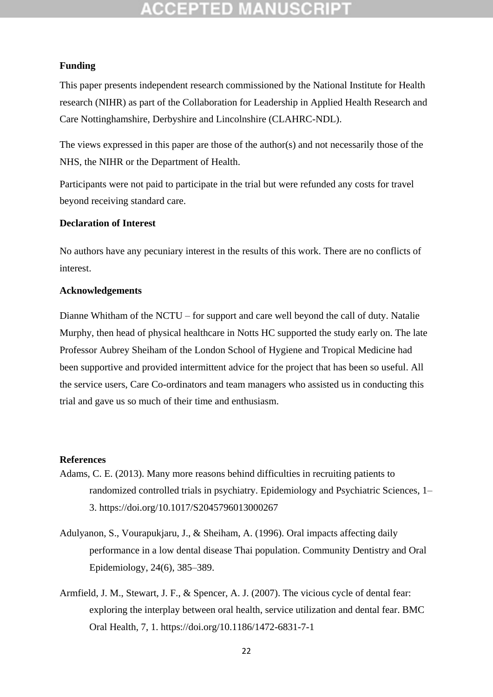# CGEPTED M

### **Funding**

This paper presents independent research commissioned by the National Institute for Health research (NIHR) as part of the Collaboration for Leadership in Applied Health Research and Care Nottinghamshire, Derbyshire and Lincolnshire (CLAHRC-NDL).

The views expressed in this paper are those of the author(s) and not necessarily those of the NHS, the NIHR or the Department of Health.

Participants were not paid to participate in the trial but were refunded any costs for travel beyond receiving standard care.

### **Declaration of Interest**

No authors have any pecuniary interest in the results of this work. There are no conflicts of interest.

#### **Acknowledgements**

Dianne Whitham of the NCTU – for support and care well beyond the call of duty. Natalie Murphy, then head of physical healthcare in Notts HC supported the study early on. The late Professor Aubrey Sheiham of the London School of Hygiene and Tropical Medicine had been supportive and provided intermittent advice for the project that has been so useful. All the service users, Care Co-ordinators and team managers who assisted us in conducting this trial and gave us so much of their time and enthusiasm.

#### **References**

- Adams, C. E. (2013). Many more reasons behind difficulties in recruiting patients to randomized controlled trials in psychiatry. Epidemiology and Psychiatric Sciences, 1– 3. https://doi.org/10.1017/S2045796013000267
- Adulyanon, S., Vourapukjaru, J., & Sheiham, A. (1996). Oral impacts affecting daily performance in a low dental disease Thai population. Community Dentistry and Oral Epidemiology, 24(6), 385–389.
- Armfield, J. M., Stewart, J. F., & Spencer, A. J. (2007). The vicious cycle of dental fear: exploring the interplay between oral health, service utilization and dental fear. BMC Oral Health, 7, 1. https://doi.org/10.1186/1472-6831-7-1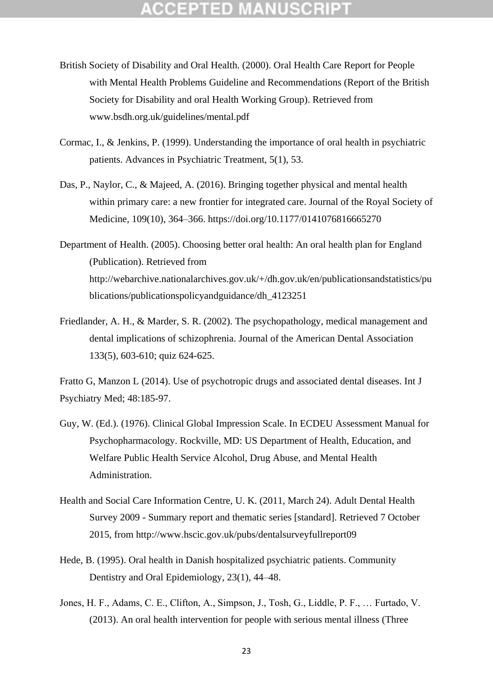# CCEPTED MANUSCRI

- British Society of Disability and Oral Health. (2000). Oral Health Care Report for People with Mental Health Problems Guideline and Recommendations (Report of the British Society for Disability and oral Health Working Group). Retrieved from www.bsdh.org.uk/guidelines/mental.pdf
- Cormac, I., & Jenkins, P. (1999). Understanding the importance of oral health in psychiatric patients. Advances in Psychiatric Treatment, 5(1), 53.
- Das, P., Naylor, C., & Majeed, A. (2016). Bringing together physical and mental health within primary care: a new frontier for integrated care. Journal of the Royal Society of Medicine, 109(10), 364–366. https://doi.org/10.1177/0141076816665270
- Department of Health. (2005). Choosing better oral health: An oral health plan for England (Publication). Retrieved from http://webarchive.nationalarchives.gov.uk/+/dh.gov.uk/en/publicationsandstatistics/pu blications/publicationspolicyandguidance/dh\_4123251
- Friedlander, A. H., & Marder, S. R. (2002). The psychopathology, medical management and dental implications of schizophrenia. Journal of the American Dental Association 133(5), 603-610; quiz 624-625.

Fratto G, Manzon L (2014). Use of psychotropic drugs and associated dental diseases. Int J Psychiatry Med; 48:185-97.

- Guy, W. (Ed.). (1976). Clinical Global Impression Scale. In ECDEU Assessment Manual for Psychopharmacology. Rockville, MD: US Department of Health, Education, and Welfare Public Health Service Alcohol, Drug Abuse, and Mental Health Administration.
- Health and Social Care Information Centre, U. K. (2011, March 24). Adult Dental Health Survey 2009 - Summary report and thematic series [standard]. Retrieved 7 October 2015, from http://www.hscic.gov.uk/pubs/dentalsurveyfullreport09
- Hede, B. (1995). Oral health in Danish hospitalized psychiatric patients. Community Dentistry and Oral Epidemiology, 23(1), 44–48.
- Jones, H. F., Adams, C. E., Clifton, A., Simpson, J., Tosh, G., Liddle, P. F., … Furtado, V. (2013). An oral health intervention for people with serious mental illness (Three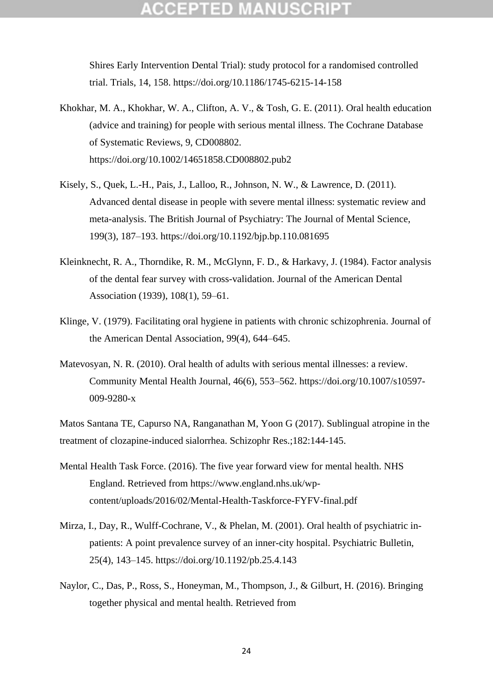## CCEPTED MANUSCR

Shires Early Intervention Dental Trial): study protocol for a randomised controlled trial. Trials, 14, 158. https://doi.org/10.1186/1745-6215-14-158

- Khokhar, M. A., Khokhar, W. A., Clifton, A. V., & Tosh, G. E. (2011). Oral health education (advice and training) for people with serious mental illness. The Cochrane Database of Systematic Reviews, 9, CD008802. https://doi.org/10.1002/14651858.CD008802.pub2
- Kisely, S., Quek, L.-H., Pais, J., Lalloo, R., Johnson, N. W., & Lawrence, D. (2011). Advanced dental disease in people with severe mental illness: systematic review and meta-analysis. The British Journal of Psychiatry: The Journal of Mental Science, 199(3), 187–193. https://doi.org/10.1192/bjp.bp.110.081695
- Kleinknecht, R. A., Thorndike, R. M., McGlynn, F. D., & Harkavy, J. (1984). Factor analysis of the dental fear survey with cross-validation. Journal of the American Dental Association (1939), 108(1), 59–61.
- Klinge, V. (1979). Facilitating oral hygiene in patients with chronic schizophrenia. Journal of the American Dental Association, 99(4), 644–645.
- Matevosyan, N. R. (2010). Oral health of adults with serious mental illnesses: a review. Community Mental Health Journal, 46(6), 553–562. https://doi.org/10.1007/s10597- 009-9280-x

Matos Santana TE, Capurso NA, Ranganathan M, Yoon G (2017). Sublingual atropine in the treatment of clozapine-induced sialorrhea. Schizophr Res.;182:144-145.

- Mental Health Task Force. (2016). The five year forward view for mental health. NHS England. Retrieved from https://www.england.nhs.uk/wpcontent/uploads/2016/02/Mental-Health-Taskforce-FYFV-final.pdf
- Mirza, I., Day, R., Wulff-Cochrane, V., & Phelan, M. (2001). Oral health of psychiatric inpatients: A point prevalence survey of an inner-city hospital. Psychiatric Bulletin, 25(4), 143–145. https://doi.org/10.1192/pb.25.4.143
- Naylor, C., Das, P., Ross, S., Honeyman, M., Thompson, J., & Gilburt, H. (2016). Bringing together physical and mental health. Retrieved from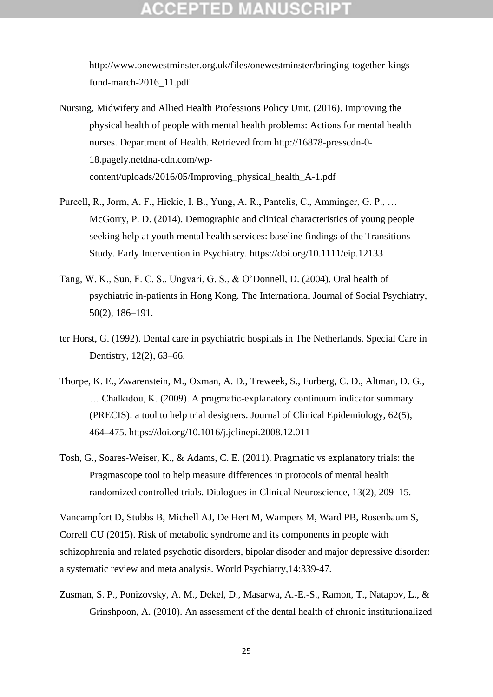## (CEPTED)

http://www.onewestminster.org.uk/files/onewestminster/bringing-together-kingsfund-march-2016\_11.pdf

- Nursing, Midwifery and Allied Health Professions Policy Unit. (2016). Improving the physical health of people with mental health problems: Actions for mental health nurses. Department of Health. Retrieved from http://16878-presscdn-0- 18.pagely.netdna-cdn.com/wpcontent/uploads/2016/05/Improving\_physical\_health\_A-1.pdf
- Purcell, R., Jorm, A. F., Hickie, I. B., Yung, A. R., Pantelis, C., Amminger, G. P., … McGorry, P. D. (2014). Demographic and clinical characteristics of young people seeking help at youth mental health services: baseline findings of the Transitions Study. Early Intervention in Psychiatry. https://doi.org/10.1111/eip.12133
- Tang, W. K., Sun, F. C. S., Ungvari, G. S., & O'Donnell, D. (2004). Oral health of psychiatric in-patients in Hong Kong. The International Journal of Social Psychiatry, 50(2), 186–191.
- ter Horst, G. (1992). Dental care in psychiatric hospitals in The Netherlands. Special Care in Dentistry, 12(2), 63–66.
- Thorpe, K. E., Zwarenstein, M., Oxman, A. D., Treweek, S., Furberg, C. D., Altman, D. G., … Chalkidou, K. (2009). A pragmatic-explanatory continuum indicator summary (PRECIS): a tool to help trial designers. Journal of Clinical Epidemiology, 62(5), 464–475. https://doi.org/10.1016/j.jclinepi.2008.12.011
- Tosh, G., Soares-Weiser, K., & Adams, C. E. (2011). Pragmatic vs explanatory trials: the Pragmascope tool to help measure differences in protocols of mental health randomized controlled trials. Dialogues in Clinical Neuroscience, 13(2), 209–15.

Vancampfort D, Stubbs B, Michell AJ, De Hert M, Wampers M, Ward PB, Rosenbaum S, Correll CU (2015). Risk of metabolic syndrome and its components in people with schizophrenia and related psychotic disorders, bipolar disoder and major depressive disorder: a systematic review and meta analysis. World Psychiatry,14:339-47.

Zusman, S. P., Ponizovsky, A. M., Dekel, D., Masarwa, A.-E.-S., Ramon, T., Natapov, L., & Grinshpoon, A. (2010). An assessment of the dental health of chronic institutionalized